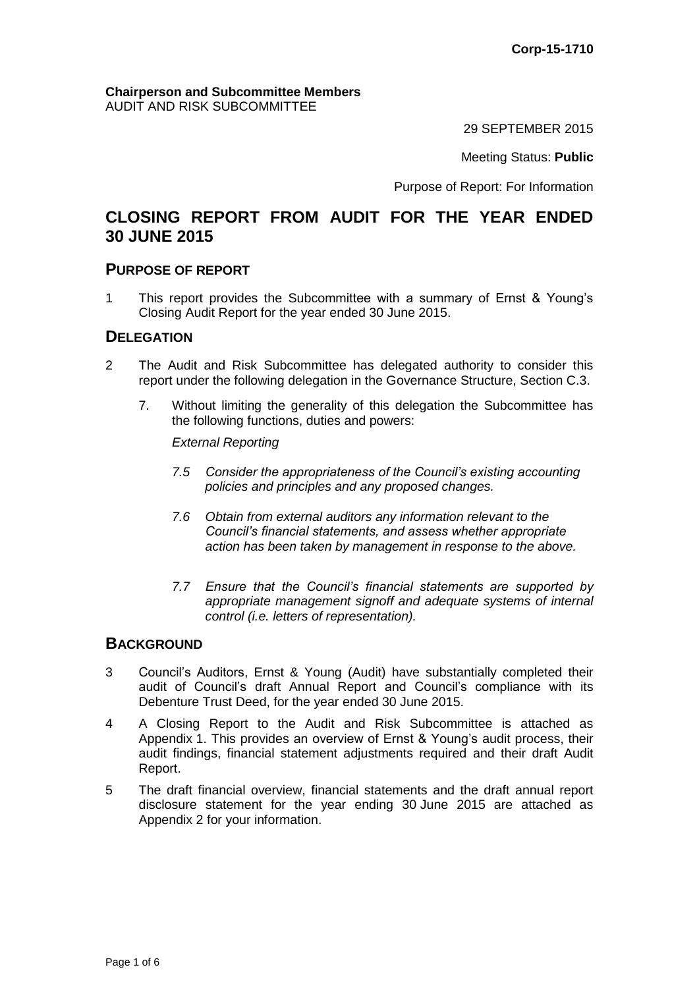#### **Chairperson and Subcommittee Members** AUDIT AND RISK SUBCOMMITTEE

29 SEPTEMBER 2015

Meeting Status: **Public**

Purpose of Report: For Information

# **CLOSING REPORT FROM AUDIT FOR THE YEAR ENDED 30 JUNE 2015**

### **PURPOSE OF REPORT**

1 This report provides the Subcommittee with a summary of Ernst & Young's Closing Audit Report for the year ended 30 June 2015.

### **DELEGATION**

- 2 The Audit and Risk Subcommittee has delegated authority to consider this report under the following delegation in the Governance Structure, Section C.3.
	- 7. Without limiting the generality of this delegation the Subcommittee has the following functions, duties and powers:

*External Reporting* 

- *7.5 Consider the appropriateness of the Council's existing accounting policies and principles and any proposed changes.*
- *7.6 Obtain from external auditors any information relevant to the Council's financial statements, and assess whether appropriate action has been taken by management in response to the above.*
- *7.7 Ensure that the Council's financial statements are supported by appropriate management signoff and adequate systems of internal control (i.e. letters of representation).*

### **BACKGROUND**

- 3 Council's Auditors, Ernst & Young (Audit) have substantially completed their audit of Council's draft Annual Report and Council's compliance with its Debenture Trust Deed, for the year ended 30 June 2015.
- 4 A Closing Report to the Audit and Risk Subcommittee is attached as Appendix 1. This provides an overview of Ernst & Young's audit process, their audit findings, financial statement adjustments required and their draft Audit Report.
- 5 The draft financial overview, financial statements and the draft annual report disclosure statement for the year ending 30 June 2015 are attached as Appendix 2 for your information.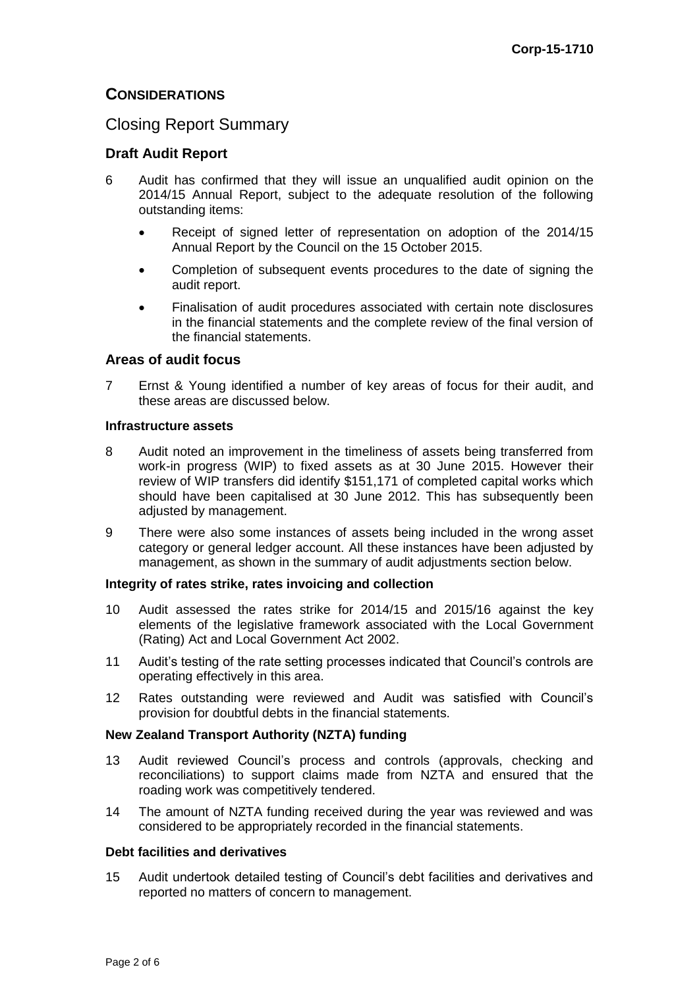## **CONSIDERATIONS**

## Closing Report Summary

### **Draft Audit Report**

- 6 Audit has confirmed that they will issue an unqualified audit opinion on the 2014/15 Annual Report, subject to the adequate resolution of the following outstanding items:
	- Receipt of signed letter of representation on adoption of the 2014/15 Annual Report by the Council on the 15 October 2015.
	- Completion of subsequent events procedures to the date of signing the audit report.
	- Finalisation of audit procedures associated with certain note disclosures in the financial statements and the complete review of the final version of the financial statements.

### **Areas of audit focus**

7 Ernst & Young identified a number of key areas of focus for their audit, and these areas are discussed below.

#### **Infrastructure assets**

- 8 Audit noted an improvement in the timeliness of assets being transferred from work-in progress (WIP) to fixed assets as at 30 June 2015. However their review of WIP transfers did identify \$151,171 of completed capital works which should have been capitalised at 30 June 2012. This has subsequently been adjusted by management.
- 9 There were also some instances of assets being included in the wrong asset category or general ledger account. All these instances have been adjusted by management, as shown in the summary of audit adjustments section below.

#### **Integrity of rates strike, rates invoicing and collection**

- 10 Audit assessed the rates strike for 2014/15 and 2015/16 against the key elements of the legislative framework associated with the Local Government (Rating) Act and Local Government Act 2002.
- 11 Audit's testing of the rate setting processes indicated that Council's controls are operating effectively in this area.
- 12 Rates outstanding were reviewed and Audit was satisfied with Council's provision for doubtful debts in the financial statements.

#### **New Zealand Transport Authority (NZTA) funding**

- 13 Audit reviewed Council's process and controls (approvals, checking and reconciliations) to support claims made from NZTA and ensured that the roading work was competitively tendered.
- 14 The amount of NZTA funding received during the year was reviewed and was considered to be appropriately recorded in the financial statements.

#### **Debt facilities and derivatives**

15 Audit undertook detailed testing of Council's debt facilities and derivatives and reported no matters of concern to management.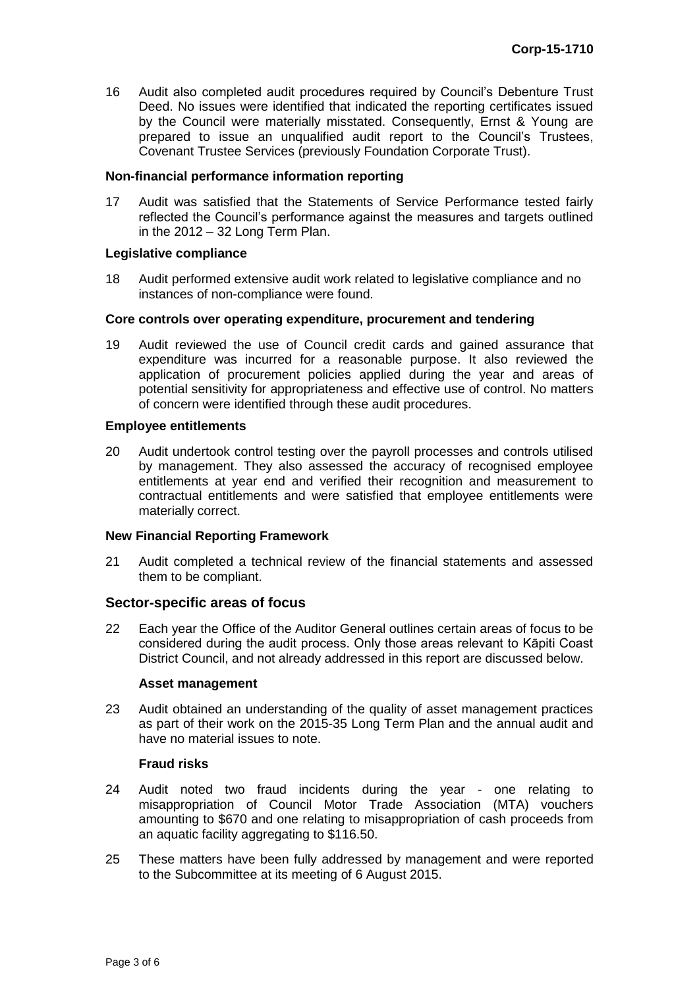16 Audit also completed audit procedures required by Council's Debenture Trust Deed. No issues were identified that indicated the reporting certificates issued by the Council were materially misstated. Consequently, Ernst & Young are prepared to issue an unqualified audit report to the Council's Trustees, Covenant Trustee Services (previously Foundation Corporate Trust).

#### **Non-financial performance information reporting**

17 Audit was satisfied that the Statements of Service Performance tested fairly reflected the Council's performance against the measures and targets outlined in the 2012 – 32 Long Term Plan.

#### **Legislative compliance**

18 Audit performed extensive audit work related to legislative compliance and no instances of non-compliance were found.

#### **Core controls over operating expenditure, procurement and tendering**

19 Audit reviewed the use of Council credit cards and gained assurance that expenditure was incurred for a reasonable purpose. It also reviewed the application of procurement policies applied during the year and areas of potential sensitivity for appropriateness and effective use of control. No matters of concern were identified through these audit procedures.

#### **Employee entitlements**

20 Audit undertook control testing over the payroll processes and controls utilised by management. They also assessed the accuracy of recognised employee entitlements at year end and verified their recognition and measurement to contractual entitlements and were satisfied that employee entitlements were materially correct.

#### **New Financial Reporting Framework**

21 Audit completed a technical review of the financial statements and assessed them to be compliant.

### **Sector-specific areas of focus**

22 Each year the Office of the Auditor General outlines certain areas of focus to be considered during the audit process. Only those areas relevant to Kāpiti Coast District Council, and not already addressed in this report are discussed below.

#### **Asset management**

23 Audit obtained an understanding of the quality of asset management practices as part of their work on the 2015-35 Long Term Plan and the annual audit and have no material issues to note.

### **Fraud risks**

- 24 Audit noted two fraud incidents during the year one relating to misappropriation of Council Motor Trade Association (MTA) vouchers amounting to \$670 and one relating to misappropriation of cash proceeds from an aquatic facility aggregating to \$116.50.
- 25 These matters have been fully addressed by management and were reported to the Subcommittee at its meeting of 6 August 2015.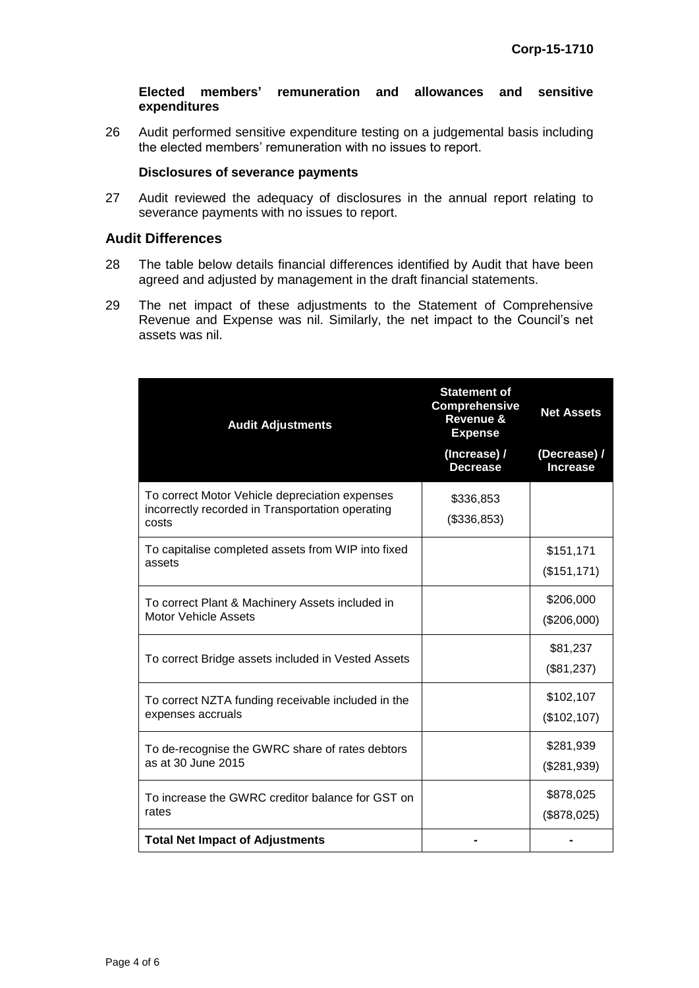#### **Elected members' remuneration and allowances and sensitive expenditures**

26 Audit performed sensitive expenditure testing on a judgemental basis including the elected members' remuneration with no issues to report.

#### **Disclosures of severance payments**

27 Audit reviewed the adequacy of disclosures in the annual report relating to severance payments with no issues to report.

### **Audit Differences**

- 28 The table below details financial differences identified by Audit that have been agreed and adjusted by management in the draft financial statements.
- 29 The net impact of these adjustments to the Statement of Comprehensive Revenue and Expense was nil. Similarly, the net impact to the Council's net assets was nil.

| <b>Audit Adjustments</b>                                                                                    | <b>Statement of</b><br><b>Comprehensive</b><br>Revenue &<br><b>Expense</b> | <b>Net Assets</b>               |
|-------------------------------------------------------------------------------------------------------------|----------------------------------------------------------------------------|---------------------------------|
|                                                                                                             | (Increase) /<br><b>Decrease</b>                                            | (Decrease) /<br><b>Increase</b> |
| To correct Motor Vehicle depreciation expenses<br>incorrectly recorded in Transportation operating<br>costs | \$336,853<br>(\$336,853)                                                   |                                 |
| To capitalise completed assets from WIP into fixed<br>assets                                                |                                                                            | \$151,171<br>(\$151, 171)       |
| To correct Plant & Machinery Assets included in<br><b>Motor Vehicle Assets</b>                              |                                                                            | \$206,000<br>(\$206,000)        |
| To correct Bridge assets included in Vested Assets                                                          |                                                                            | \$81,237<br>(\$81,237)          |
| To correct NZTA funding receivable included in the<br>expenses accruals                                     |                                                                            | \$102,107<br>(\$102, 107)       |
| To de-recognise the GWRC share of rates debtors<br>as at 30 June 2015                                       |                                                                            | \$281,939<br>(\$281,939)        |
| To increase the GWRC creditor balance for GST on<br>rates                                                   |                                                                            | \$878,025<br>(\$878,025)        |
| <b>Total Net Impact of Adjustments</b>                                                                      |                                                                            |                                 |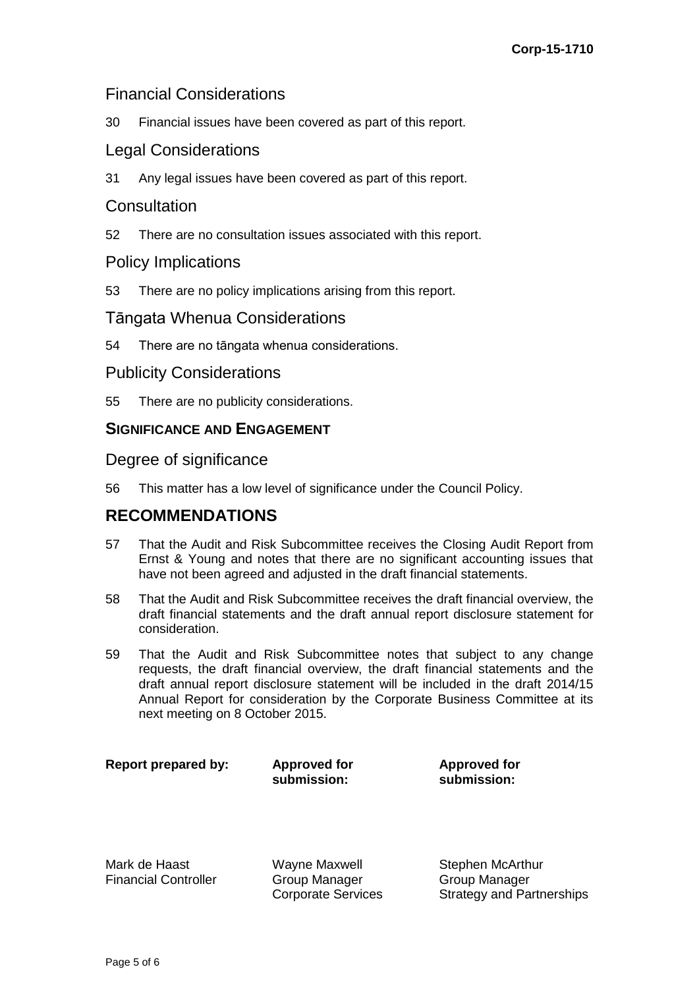# Financial Considerations

30 Financial issues have been covered as part of this report.

# Legal Considerations

31 Any legal issues have been covered as part of this report.

## **Consultation**

52 There are no consultation issues associated with this report.

## Policy Implications

53 There are no policy implications arising from this report.

## Tāngata Whenua Considerations

54 There are no tāngata whenua considerations.

## Publicity Considerations

55 There are no publicity considerations.

## **SIGNIFICANCE AND ENGAGEMENT**

Degree of significance

56 This matter has a low level of significance under the Council Policy.

# **RECOMMENDATIONS**

- 57 That the Audit and Risk Subcommittee receives the Closing Audit Report from Ernst & Young and notes that there are no significant accounting issues that have not been agreed and adjusted in the draft financial statements.
- 58 That the Audit and Risk Subcommittee receives the draft financial overview, the draft financial statements and the draft annual report disclosure statement for consideration.
- 59 That the Audit and Risk Subcommittee notes that subject to any change requests, the draft financial overview, the draft financial statements and the draft annual report disclosure statement will be included in the draft 2014/15 Annual Report for consideration by the Corporate Business Committee at its next meeting on 8 October 2015.

**Report prepared by: Approved for** 

**submission:**

**Approved for submission:**

Mark de Haast Financial Controller Wayne Maxwell Group Manager Corporate Services Stephen McArthur Group Manager Strategy and Partnerships